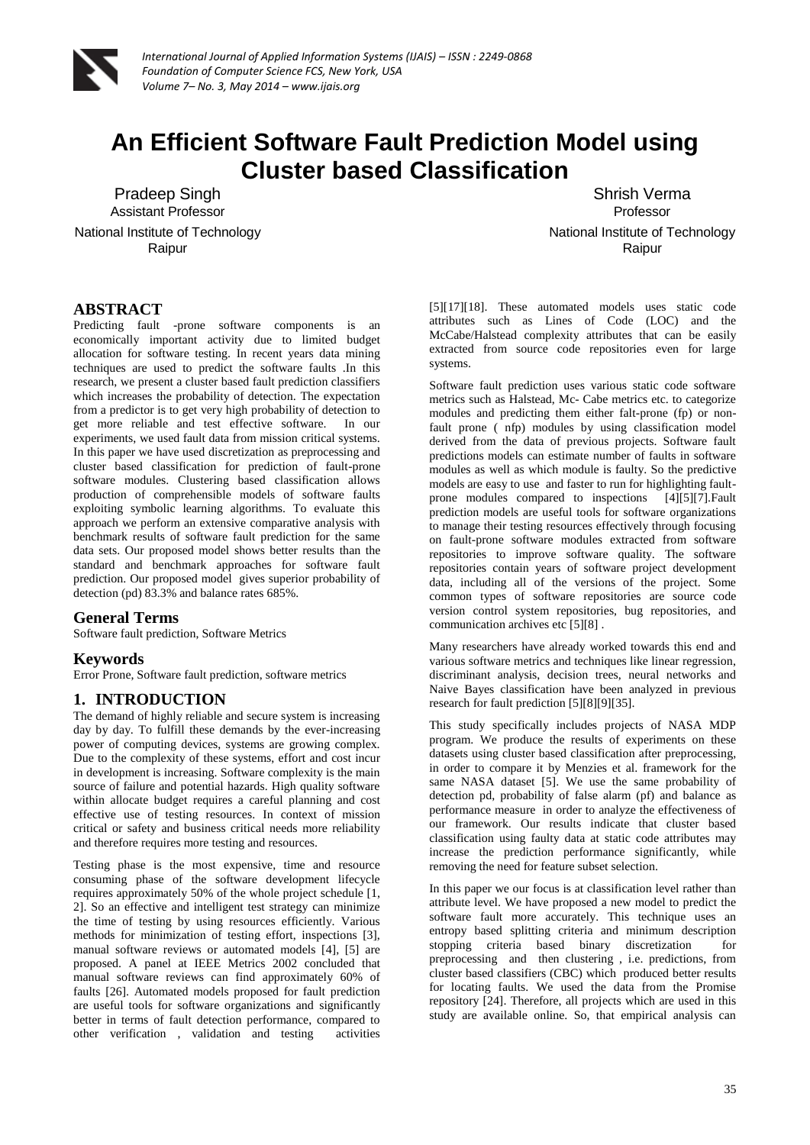

# **An Efficient Software Fault Prediction Model using Cluster based Classification**

Pradeep Singh Assistant Professor

National Institute of Technology Raipur

Shrish Verma Professor National Institute of Technology Raipur

# **ABSTRACT**

Predicting fault -prone software components is an economically important activity due to limited budget allocation for software testing. In recent years data mining techniques are used to predict the software faults .In this research, we present a cluster based fault prediction classifiers which increases the probability of detection. The expectation from a predictor is to get very high probability of detection to get more reliable and test effective software. In our experiments, we used fault data from mission critical systems. In this paper we have used discretization as preprocessing and cluster based classification for prediction of fault-prone software modules. Clustering based classification allows production of comprehensible models of software faults exploiting symbolic learning algorithms. To evaluate this approach we perform an extensive comparative analysis with benchmark results of software fault prediction for the same data sets. Our proposed model shows better results than the standard and benchmark approaches for software fault prediction. Our proposed model gives superior probability of detection (pd) 83.3% and balance rates 685%.

### **General Terms**

Software fault prediction, Software Metrics

### **Keywords**

Error Prone, Software fault prediction, software metrics

### **1. INTRODUCTION**

The demand of highly reliable and secure system is increasing day by day. To fulfill these demands by the ever-increasing power of computing devices, systems are growing complex. Due to the complexity of these systems, effort and cost incur in development is increasing. Software complexity is the main source of failure and potential hazards. High quality software within allocate budget requires a careful planning and cost effective use of testing resources. In context of mission critical or safety and business critical needs more reliability and therefore requires more testing and resources.

Testing phase is the most expensive, time and resource consuming phase of the software development lifecycle requires approximately 50% of the whole project schedule [1, 2]. So an effective and intelligent test strategy can minimize the time of testing by using resources efficiently. Various methods for minimization of testing effort, inspections [3], manual software reviews or automated models [4], [5] are proposed. A panel at IEEE Metrics 2002 concluded that manual software reviews can find approximately 60% of faults [26]. Automated models proposed for fault prediction are useful tools for software organizations and significantly better in terms of fault detection performance, compared to other verification , validation and testing activities

[5][17][18]. These automated models uses static code attributes such as Lines of Code (LOC) and the McCabe/Halstead complexity attributes that can be easily extracted from source code repositories even for large systems.

Software fault prediction uses various static code software metrics such as Halstead, Mc- Cabe metrics etc. to categorize modules and predicting them either falt-prone (fp) or nonfault prone ( nfp) modules by using classification model derived from the data of previous projects. Software fault predictions models can estimate number of faults in software modules as well as which module is faulty. So the predictive models are easy to use and faster to run for highlighting faultprone modules compared to inspections [4][5][7].Fault prediction models are useful tools for software organizations to manage their testing resources effectively through focusing on fault-prone software modules extracted from software repositories to improve software quality. The software repositories contain years of software project development data, including all of the versions of the project. Some common types of software repositories are source code version control system repositories, bug repositories, and communication archives etc [5][8] .

Many researchers have already worked towards this end and various software metrics and techniques like linear regression, discriminant analysis, decision trees, neural networks and Naive Bayes classification have been analyzed in previous research for fault prediction [5][8][9][35].

This study specifically includes projects of NASA MDP program. We produce the results of experiments on these datasets using cluster based classification after preprocessing, in order to compare it by Menzies et al. framework for the same NASA dataset [5]. We use the same probability of detection pd, probability of false alarm (pf) and balance as performance measure in order to analyze the effectiveness of our framework. Our results indicate that cluster based classification using faulty data at static code attributes may increase the prediction performance significantly, while removing the need for feature subset selection.

In this paper we our focus is at classification level rather than attribute level. We have proposed a new model to predict the software fault more accurately. This technique uses an entropy based splitting criteria and minimum description stopping criteria based binary discretization for preprocessing and then clustering, i.e. predictions, from cluster based classifiers (CBC) which produced better results for locating faults. We used the data from the Promise repository [24]. Therefore, all projects which are used in this study are available online. So, that empirical analysis can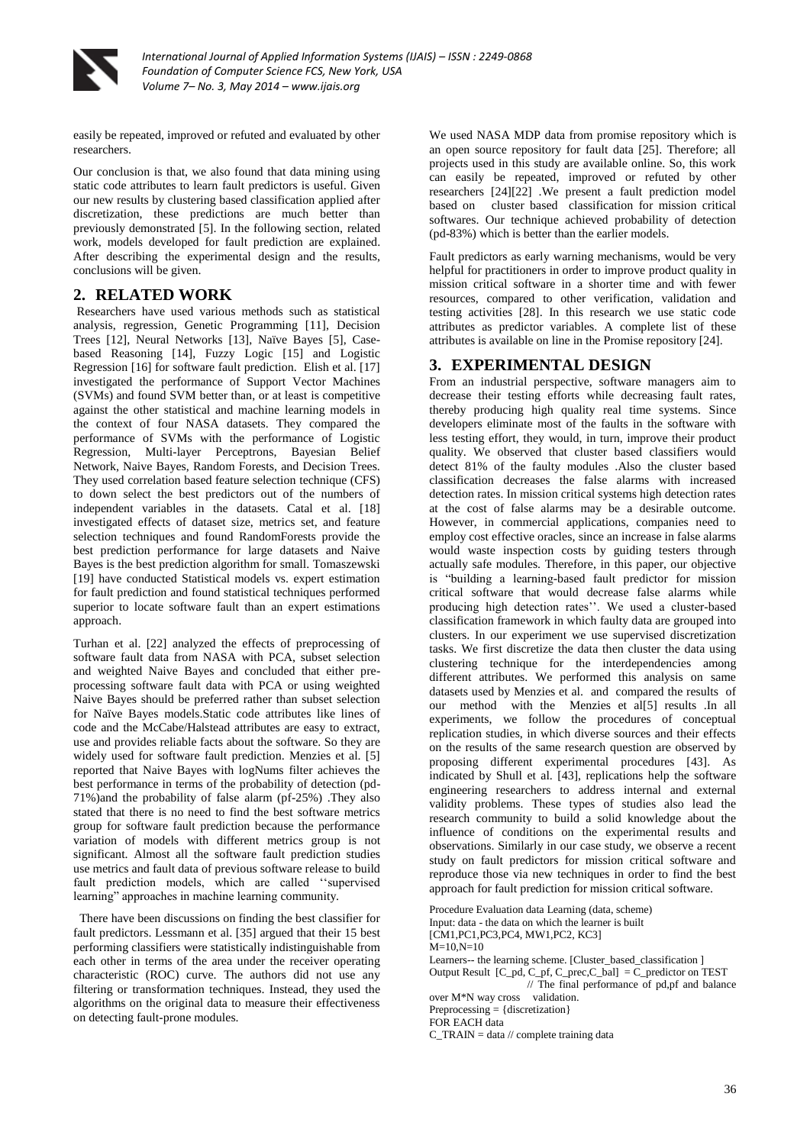

easily be repeated, improved or refuted and evaluated by other researchers.

Our conclusion is that, we also found that data mining using static code attributes to learn fault predictors is useful. Given our new results by clustering based classification applied after discretization, these predictions are much better than previously demonstrated [5]. In the following section, related work, models developed for fault prediction are explained. After describing the experimental design and the results, conclusions will be given.

# **2. RELATED WORK**

Researchers have used various methods such as statistical analysis, regression, Genetic Programming [11], Decision Trees [12], Neural Networks [13], Naïve Bayes [5], Casebased Reasoning [14], Fuzzy Logic [15] and Logistic Regression [16] for software fault prediction. Elish et al. [17] investigated the performance of Support Vector Machines (SVMs) and found SVM better than, or at least is competitive against the other statistical and machine learning models in the context of four NASA datasets. They compared the performance of SVMs with the performance of Logistic Regression, Multi-layer Perceptrons, Bayesian Belief Network, Naive Bayes, Random Forests, and Decision Trees. They used correlation based feature selection technique (CFS) to down select the best predictors out of the numbers of independent variables in the datasets. Catal et al. [18] investigated effects of dataset size, metrics set, and feature selection techniques and found RandomForests provide the best prediction performance for large datasets and Naive Bayes is the best prediction algorithm for small. Tomaszewski [19] have conducted Statistical models vs. expert estimation for fault prediction and found statistical techniques performed superior to locate software fault than an expert estimations approach.

Turhan et al. [22] analyzed the effects of preprocessing of software fault data from NASA with PCA, subset selection and weighted Naive Bayes and concluded that either preprocessing software fault data with PCA or using weighted Naive Bayes should be preferred rather than subset selection for Naïve Bayes models.Static code attributes like lines of code and the McCabe/Halstead attributes are easy to extract, use and provides reliable facts about the software. So they are widely used for software fault prediction. Menzies et al. [5] reported that Naive Bayes with logNums filter achieves the best performance in terms of the probability of detection (pd-71%)and the probability of false alarm (pf-25%) .They also stated that there is no need to find the best software metrics group for software fault prediction because the performance variation of models with different metrics group is not significant. Almost all the software fault prediction studies use metrics and fault data of previous software release to build fault prediction models, which are called ''supervised learning" approaches in machine learning community.

 There have been discussions on finding the best classifier for fault predictors. Lessmann et al. [35] argued that their 15 best performing classifiers were statistically indistinguishable from each other in terms of the area under the receiver operating characteristic (ROC) curve. The authors did not use any filtering or transformation techniques. Instead, they used the algorithms on the original data to measure their effectiveness on detecting fault-prone modules.

We used NASA MDP data from promise repository which is an open source repository for fault data [25]. Therefore; all projects used in this study are available online. So, this work can easily be repeated, improved or refuted by other researchers [24][22] .We present a fault prediction model based on cluster based classification for mission critical softwares. Our technique achieved probability of detection (pd-83%) which is better than the earlier models.

Fault predictors as early warning mechanisms, would be very helpful for practitioners in order to improve product quality in mission critical software in a shorter time and with fewer resources, compared to other verification, validation and testing activities [28]. In this research we use static code attributes as predictor variables. A complete list of these attributes is available on line in the Promise repository [24].

# **3. EXPERIMENTAL DESIGN**

From an industrial perspective, software managers aim to decrease their testing efforts while decreasing fault rates, thereby producing high quality real time systems. Since developers eliminate most of the faults in the software with less testing effort, they would, in turn, improve their product quality. We observed that cluster based classifiers would detect 81% of the faulty modules .Also the cluster based classification decreases the false alarms with increased detection rates. In mission critical systems high detection rates at the cost of false alarms may be a desirable outcome. However, in commercial applications, companies need to employ cost effective oracles, since an increase in false alarms would waste inspection costs by guiding testers through actually safe modules. Therefore, in this paper, our objective is "building a learning-based fault predictor for mission critical software that would decrease false alarms while producing high detection rates''. We used a cluster-based classification framework in which faulty data are grouped into clusters. In our experiment we use supervised discretization tasks. We first discretize the data then cluster the data using clustering technique for the interdependencies among different attributes. We performed this analysis on same datasets used by Menzies et al. and compared the results of our method with the Menzies et al[5] results .In all experiments, we follow the procedures of conceptual replication studies, in which diverse sources and their effects on the results of the same research question are observed by proposing different experimental procedures [43]. As indicated by Shull et al. [43], replications help the software engineering researchers to address internal and external validity problems. These types of studies also lead the research community to build a solid knowledge about the influence of conditions on the experimental results and observations. Similarly in our case study, we observe a recent study on fault predictors for mission critical software and reproduce those via new techniques in order to find the best approach for fault prediction for mission critical software.

Procedure Evaluation data Learning (data, scheme)

Input: data - the data on which the learner is built

[CM1,PC1,PC3,PC4, MW1,PC2, KC3]

 $M=10,N=10$ 

Learners-- the learning scheme. [Cluster\_based\_classification ] Output Result  $[C_p,d, C_p,f, C_p, C_p, C_p] = C_p$  predictor on TEST

// The final performance of pd,pf and balance over M\*N way cross validation.

Preprocessing = {discretization}

FOR EACH data

 $C_TRAIN = data$  // complete training data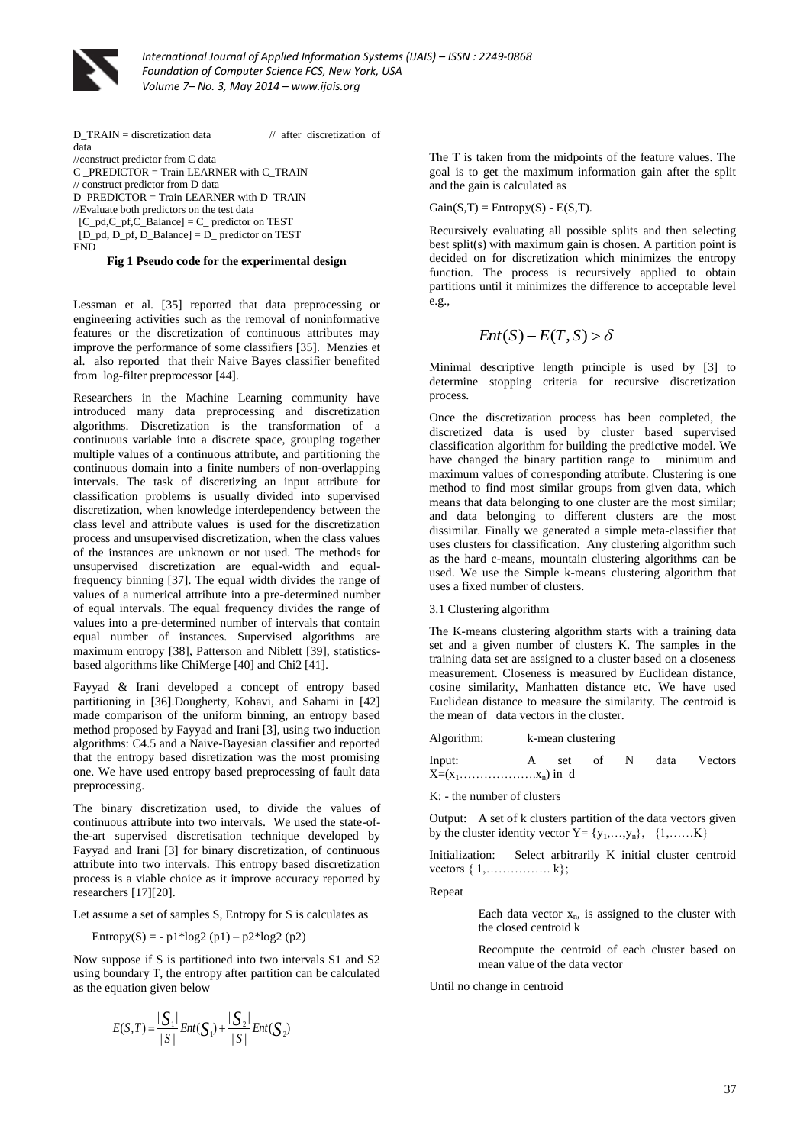

D\_TRAIN = discretization data // after discretization of data //construct predictor from C data C \_PREDICTOR = Train LEARNER with C\_TRAIN // construct predictor from D data D\_PREDICTOR = Train LEARNER with D\_TRAIN //Evaluate both predictors on the test data [C\_pd,C\_pf,C\_Balance] = C\_ predictor on TEST [D\_pd, D\_pf, D\_Balance] = D\_ predictor on TEST END

#### **Fig 1 Pseudo code for the experimental design**

Lessman et al. [35] reported that data preprocessing or engineering activities such as the removal of noninformative features or the discretization of continuous attributes may improve the performance of some classifiers [35]. Menzies et al. also reported that their Naive Bayes classifier benefited from log-filter preprocessor [44].

Researchers in the Machine Learning community have introduced many data preprocessing and discretization algorithms. Discretization is the transformation of a continuous variable into a discrete space, grouping together multiple values of a continuous attribute, and partitioning the continuous domain into a finite numbers of non-overlapping intervals. The task of discretizing an input attribute for classification problems is usually divided into supervised discretization, when knowledge interdependency between the class level and attribute values is used for the discretization process and unsupervised discretization, when the class values of the instances are unknown or not used. The methods for unsupervised discretization are equal-width and equalfrequency binning [37]. The equal width divides the range of values of a numerical attribute into a pre-determined number of equal intervals. The equal frequency divides the range of values into a pre-determined number of intervals that contain equal number of instances. Supervised algorithms are maximum entropy [38], Patterson and Niblett [39], statisticsbased algorithms like ChiMerge [40] and Chi2 [41].

Fayyad & Irani developed a concept of entropy based partitioning in [36].Dougherty, Kohavi, and Sahami in [42] made comparison of the uniform binning, an entropy based method proposed by Fayyad and Irani [3], using two induction algorithms: C4.5 and a Naive-Bayesian classifier and reported that the entropy based disretization was the most promising one. We have used entropy based preprocessing of fault data preprocessing.

The binary discretization used, to divide the values of continuous attribute into two intervals. We used the state-ofthe-art supervised discretisation technique developed by Fayyad and Irani [3] for binary discretization, of continuous attribute into two intervals. This entropy based discretization process is a viable choice as it improve accuracy reported by researchers [17][20].

Let assume a set of samples S, Entropy for S is calculates as

Entropy(S) = -  $p1*log2(p1) - p2*log2(p2)$ 

Now suppose if S is partitioned into two intervals S1 and S2 using boundary T, the entropy after partition can be calculated as the equation given below

$$
E(S,T) = \frac{|S_1|}{|S|} Ent(S_1) + \frac{|S_2|}{|S|} Ent(S_2)
$$

The T is taken from the midpoints of the feature values. The goal is to get the maximum information gain after the split and the gain is calculated as

 $Gain(S,T) = Entropy(S) - E(S,T).$ 

Recursively evaluating all possible splits and then selecting best split(s) with maximum gain is chosen. A partition point is decided on for discretization which minimizes the entropy function. The process is recursively applied to obtain partitions until it minimizes the difference to acceptable level e.g.,

$$
Ent(S) - E(T, S) > \delta
$$

Minimal descriptive length principle is used by [3] to determine stopping criteria for recursive discretization process.

Once the discretization process has been completed, the discretized data is used by cluster based supervised classification algorithm for building the predictive model. We have changed the binary partition range to minimum and maximum values of corresponding attribute. Clustering is one method to find most similar groups from given data, which means that data belonging to one cluster are the most similar; and data belonging to different clusters are the most dissimilar. Finally we generated a simple meta-classifier that uses clusters for classification. Any clustering algorithm such as the hard c-means, mountain clustering algorithms can be used. We use the Simple k-means clustering algorithm that uses a fixed number of clusters.

#### 3.1 Clustering algorithm

The K-means clustering algorithm starts with a training data set and a given number of clusters K. The samples in the training data set are assigned to a cluster based on a closeness measurement. Closeness is measured by Euclidean distance, cosine similarity, Manhatten distance etc. We have used Euclidean distance to measure the similarity. The centroid is the mean of data vectors in the cluster.

| Algorithm:           | k-mean clustering |     |    |   |      |                |
|----------------------|-------------------|-----|----|---|------|----------------|
| Input:               |                   | set | of | N | data | <b>Vectors</b> |
| $X=(x_1,,,x_n)$ in d |                   |     |    |   |      |                |

K: - the number of clusters

Output: A set of k clusters partition of the data vectors given by the cluster identity vector  $Y = \{y_1, \ldots, y_n\}, \{1, \ldots, K\}$ 

Initialization: Select arbitrarily K initial cluster centroid vectors { 1,……………. k};

#### Repeat

Each data vector  $x_n$ , is assigned to the cluster with the closed centroid k

Recompute the centroid of each cluster based on mean value of the data vector

Until no change in centroid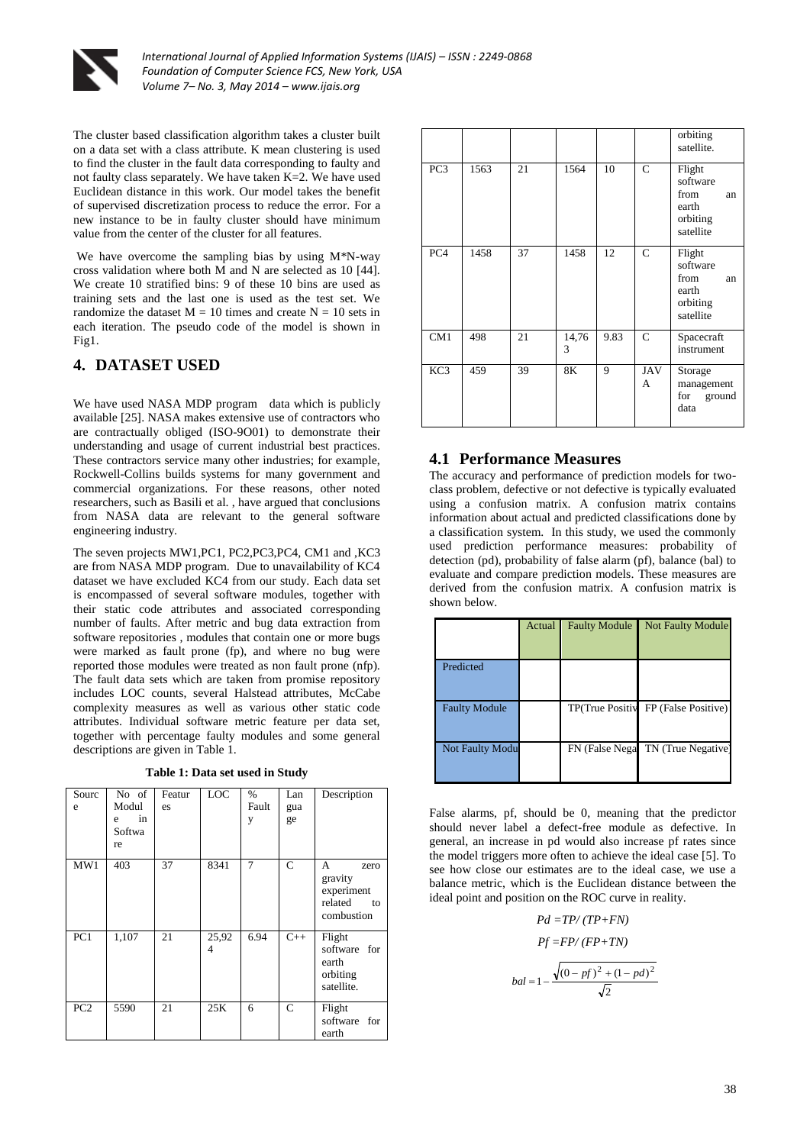

The cluster based classification algorithm takes a cluster built on a data set with a class attribute. K mean clustering is used to find the cluster in the fault data corresponding to faulty and not faulty class separately. We have taken K=2. We have used Euclidean distance in this work. Our model takes the benefit of supervised discretization process to reduce the error. For a new instance to be in faulty cluster should have minimum value from the center of the cluster for all features.

We have overcome the sampling bias by using M<sup>\*</sup>N-way cross validation where both M and N are selected as 10 [44]. We create 10 stratified bins: 9 of these 10 bins are used as training sets and the last one is used as the test set. We randomize the dataset  $M = 10$  times and create  $N = 10$  sets in each iteration. The pseudo code of the model is shown in Fig1.

# **4. DATASET USED**

We have used NASA MDP program data which is publicly available [25]. NASA makes extensive use of contractors who are contractually obliged (ISO-9O01) to demonstrate their understanding and usage of current industrial best practices. These contractors service many other industries; for example, Rockwell-Collins builds systems for many government and commercial organizations. For these reasons, other noted researchers, such as Basili et al. , have argued that conclusions from NASA data are relevant to the general software engineering industry.

The seven projects MW1,PC1, PC2,PC3,PC4, CM1 and ,KC3 are from NASA MDP program. Due to unavailability of KC4 dataset we have excluded KC4 from our study. Each data set is encompassed of several software modules, together with their static code attributes and associated corresponding number of faults. After metric and bug data extraction from software repositories , modules that contain one or more bugs were marked as fault prone (fp), and where no bug were reported those modules were treated as non fault prone (nfp). The fault data sets which are taken from promise repository includes LOC counts, several Halstead attributes, McCabe complexity measures as well as various other static code attributes. Individual software metric feature per data set, together with percentage faulty modules and some general descriptions are given in Table 1.

**Table 1: Data set used in Study**

| Sourc<br>e      | No of<br>Modul<br>in<br>e<br>Softwa<br>re | Featur<br>es | LOC        | $\%$<br>Fault<br>y | Lan<br>gua<br>ge | Description                                                       |
|-----------------|-------------------------------------------|--------------|------------|--------------------|------------------|-------------------------------------------------------------------|
| MW1             | 403                                       | 37           | 8341       | $\overline{7}$     | $\mathsf{C}$     | A<br>zero<br>gravity<br>experiment<br>related<br>to<br>combustion |
| PC1             | 1,107                                     | 21           | 25,92<br>4 | 6.94               | $C++$            | Flight<br>software for<br>earth<br>orbiting<br>satellite.         |
| PC <sub>2</sub> | 5590                                      | 21           | 25K        | 6                  | $\mathcal{C}$    | Flight<br>software for<br>earth                                   |

|                 |      |    |            |      |                 | orbiting<br>satellite.                                             |  |
|-----------------|------|----|------------|------|-----------------|--------------------------------------------------------------------|--|
| PC <sub>3</sub> | 1563 | 21 | 1564       | 10   | $\mathcal{C}$   | Flight<br>software<br>from<br>an<br>earth<br>orbiting<br>satellite |  |
| PC <sub>4</sub> | 1458 | 37 | 1458       | 12   | $\mathsf{C}$    | Flight<br>software<br>from<br>an<br>earth<br>orbiting<br>satellite |  |
| CM1             | 498  | 21 | 14,76<br>3 | 9.83 | $\mathbf C$     | Spacecraft<br>instrument                                           |  |
| KC <sub>3</sub> | 459  | 39 | 8K         | 9    | <b>JAV</b><br>A | Storage<br>management<br>for<br>ground<br>data                     |  |

## **4.1 Performance Measures**

The accuracy and performance of prediction models for twoclass problem, defective or not defective is typically evaluated using a confusion matrix. A confusion matrix contains information about actual and predicted classifications done by a classification system. In this study, we used the commonly used prediction performance measures: probability of detection (pd), probability of false alarm (pf), balance (bal) to evaluate and compare prediction models. These measures are derived from the confusion matrix. A confusion matrix is shown below.

|                        | Actual | <b>Faulty Module</b> | <b>Not Faulty Module</b> |
|------------------------|--------|----------------------|--------------------------|
| Predicted              |        |                      |                          |
| <b>Faulty Module</b>   |        | TP(True Positiv      | FP (False Positive)      |
| <b>Not Faulty Modu</b> |        | FN (False Negal      | TN (True Negative)       |

False alarms, pf, should be 0, meaning that the predictor should never label a defect-free module as defective. In general, an increase in pd would also increase pf rates since the model triggers more often to achieve the ideal case [5]. To see how close our estimates are to the ideal case, we use a balance metric, which is the Euclidean distance between the ideal point and position on the ROC curve in reality.

$$
Pd = TP/(TP+FN)
$$
  
\n
$$
Pf = FP/(FP+TN)
$$
  
\n
$$
bal = 1 - \frac{\sqrt{(0 - pf)^2 + (1 - pd)^2}}{\sqrt{2}}
$$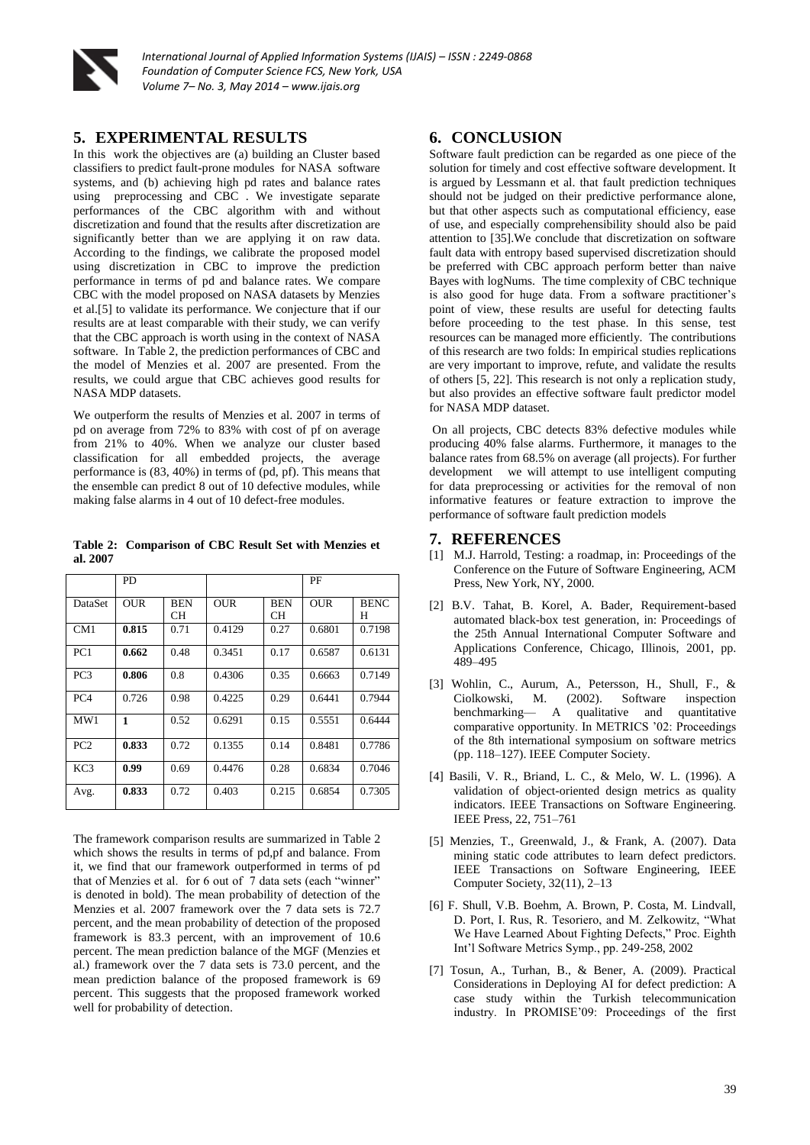

### **5. EXPERIMENTAL RESULTS**

In this work the objectives are (a) building an Cluster based classifiers to predict fault-prone modules for NASA software systems, and (b) achieving high pd rates and balance rates using preprocessing and CBC . We investigate separate performances of the CBC algorithm with and without discretization and found that the results after discretization are significantly better than we are applying it on raw data. According to the findings, we calibrate the proposed model using discretization in CBC to improve the prediction performance in terms of pd and balance rates. We compare CBC with the model proposed on NASA datasets by Menzies et al.[5] to validate its performance. We conjecture that if our results are at least comparable with their study, we can verify that the CBC approach is worth using in the context of NASA software. In Table 2, the prediction performances of CBC and the model of Menzies et al. 2007 are presented. From the results, we could argue that CBC achieves good results for NASA MDP datasets.

We outperform the results of Menzies et al. 2007 in terms of pd on average from 72% to 83% with cost of pf on average from 21% to 40%. When we analyze our cluster based classification for all embedded projects, the average performance is (83, 40%) in terms of (pd, pf). This means that the ensemble can predict 8 out of 10 defective modules, while making false alarms in 4 out of 10 defect-free modules.

**Table 2: Comparison of CBC Result Set with Menzies et al. 2007**

|                 | <b>PD</b>    |                  |            |                  | PF         |                  |
|-----------------|--------------|------------------|------------|------------------|------------|------------------|
| DataSet         | <b>OUR</b>   | <b>BEN</b><br>CН | <b>OUR</b> | <b>BEN</b><br>CН | <b>OUR</b> | <b>BENC</b><br>Н |
| CM1             | 0.815        | 0.71             | 0.4129     | 0.27             | 0.6801     | 0.7198           |
| PC1             | 0.662        | 0.48             | 0.3451     | 0.17             | 0.6587     | 0.6131           |
| PC <sub>3</sub> | 0.806        | 0.8              | 0.4306     | 0.35             | 0.6663     | 0.7149           |
| PC <sub>4</sub> | 0.726        | 0.98             | 0.4225     | 0.29             | 0.6441     | 0.7944           |
| MW1             | $\mathbf{1}$ | 0.52             | 0.6291     | 0.15             | 0.5551     | 0.6444           |
| PC2             | 0.833        | 0.72             | 0.1355     | 0.14             | 0.8481     | 0.7786           |
| KC3             | 0.99         | 0.69             | 0.4476     | 0.28             | 0.6834     | 0.7046           |
| Avg.            | 0.833        | 0.72             | 0.403      | 0.215            | 0.6854     | 0.7305           |

The framework comparison results are summarized in Table 2 which shows the results in terms of pd,pf and balance. From it, we find that our framework outperformed in terms of pd that of Menzies et al. for 6 out of 7 data sets (each "winner" is denoted in bold). The mean probability of detection of the Menzies et al. 2007 framework over the 7 data sets is 72.7 percent, and the mean probability of detection of the proposed framework is 83.3 percent, with an improvement of 10.6 percent. The mean prediction balance of the MGF (Menzies et al.) framework over the 7 data sets is 73.0 percent, and the mean prediction balance of the proposed framework is 69 percent. This suggests that the proposed framework worked well for probability of detection.

## **6. CONCLUSION**

Software fault prediction can be regarded as one piece of the solution for timely and cost effective software development. It is argued by Lessmann et al. that fault prediction techniques should not be judged on their predictive performance alone, but that other aspects such as computational efficiency, ease of use, and especially comprehensibility should also be paid attention to [35].We conclude that discretization on software fault data with entropy based supervised discretization should be preferred with CBC approach perform better than naive Bayes with logNums. The time complexity of CBC technique is also good for huge data. From a software practitioner's point of view, these results are useful for detecting faults before proceeding to the test phase. In this sense, test resources can be managed more efficiently. The contributions of this research are two folds: In empirical studies replications are very important to improve, refute, and validate the results of others [5, 22]. This research is not only a replication study, but also provides an effective software fault predictor model for NASA MDP dataset.

On all projects, CBC detects 83% defective modules while producing 40% false alarms. Furthermore, it manages to the balance rates from 68.5% on average (all projects). For further development we will attempt to use intelligent computing for data preprocessing or activities for the removal of non informative features or feature extraction to improve the performance of software fault prediction models

### **7. REFERENCES**

- [1] M.J. Harrold, Testing: a roadmap, in: Proceedings of the Conference on the Future of Software Engineering, ACM Press, New York, NY, 2000.
- [2] B.V. Tahat, B. Korel, A. Bader, Requirement-based automated black-box test generation, in: Proceedings of the 25th Annual International Computer Software and Applications Conference, Chicago, Illinois, 2001, pp. 489–495
- [3] Wohlin, C., Aurum, A., Petersson, H., Shull, F., & Ciolkowski, M. (2002). Software inspection benchmarking— A qualitative and quantitative comparative opportunity. In METRICS '02: Proceedings of the 8th international symposium on software metrics (pp. 118–127). IEEE Computer Society.
- [4] Basili, V. R., Briand, L. C., & Melo, W. L. (1996). A validation of object-oriented design metrics as quality indicators. IEEE Transactions on Software Engineering. IEEE Press, 22, 751–761
- [5] Menzies, T., Greenwald, J., & Frank, A. (2007). Data mining static code attributes to learn defect predictors. IEEE Transactions on Software Engineering, IEEE Computer Society, 32(11), 2–13
- [6] F. Shull, V.B. Boehm, A. Brown, P. Costa, M. Lindvall, D. Port, I. Rus, R. Tesoriero, and M. Zelkowitz, "What We Have Learned About Fighting Defects," Proc. Eighth Int'l Software Metrics Symp., pp. 249-258, 2002
- [7] Tosun, A., Turhan, B., & Bener, A. (2009). Practical Considerations in Deploying AI for defect prediction: A case study within the Turkish telecommunication industry. In PROMISE'09: Proceedings of the first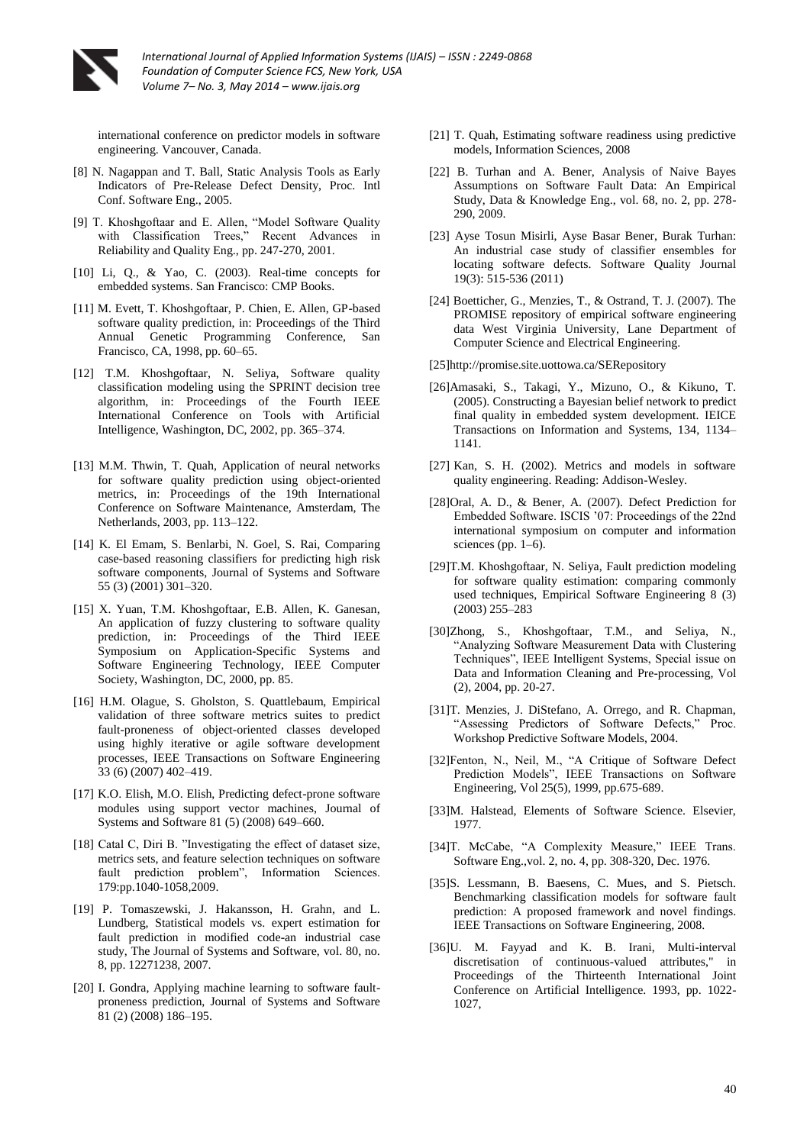

international conference on predictor models in software engineering. Vancouver, Canada.

- [8] N. Nagappan and T. Ball, Static Analysis Tools as Early Indicators of Pre-Release Defect Density, Proc. Intl Conf. Software Eng., 2005.
- [9] T. Khoshgoftaar and E. Allen, "Model Software Quality with Classification Trees," Recent Advances in Reliability and Quality Eng., pp. 247-270, 2001.
- [10] Li, Q., & Yao, C. (2003). Real-time concepts for embedded systems. San Francisco: CMP Books.
- [11] M. Evett, T. Khoshgoftaar, P. Chien, E. Allen, GP-based software quality prediction, in: Proceedings of the Third Annual Genetic Programming Conference, San Francisco, CA, 1998, pp. 60–65.
- [12] T.M. Khoshgoftaar, N. Seliya, Software quality classification modeling using the SPRINT decision tree algorithm, in: Proceedings of the Fourth IEEE International Conference on Tools with Artificial Intelligence, Washington, DC, 2002, pp. 365–374.
- [13] M.M. Thwin, T. Quah, Application of neural networks for software quality prediction using object-oriented metrics, in: Proceedings of the 19th International Conference on Software Maintenance, Amsterdam, The Netherlands, 2003, pp. 113–122.
- [14] K. El Emam, S. Benlarbi, N. Goel, S. Rai, Comparing case-based reasoning classifiers for predicting high risk software components, Journal of Systems and Software 55 (3) (2001) 301–320.
- [15] X. Yuan, T.M. Khoshgoftaar, E.B. Allen, K. Ganesan, An application of fuzzy clustering to software quality prediction, in: Proceedings of the Third IEEE Symposium on Application-Specific Systems and Software Engineering Technology, IEEE Computer Society, Washington, DC, 2000, pp. 85.
- [16] H.M. Olague, S. Gholston, S. Quattlebaum, Empirical validation of three software metrics suites to predict fault-proneness of object-oriented classes developed using highly iterative or agile software development processes, IEEE Transactions on Software Engineering 33 (6) (2007) 402–419.
- [17] K.O. Elish, M.O. Elish, Predicting defect-prone software modules using support vector machines, Journal of Systems and Software 81 (5) (2008) 649–660.
- [18] Catal C, Diri B. "Investigating the effect of dataset size, metrics sets, and feature selection techniques on software fault prediction problem", Information Sciences. 179:pp.1040-1058,2009.
- [19] P. Tomaszewski, J. Hakansson, H. Grahn, and L. Lundberg, Statistical models vs. expert estimation for fault prediction in modified code-an industrial case study, The Journal of Systems and Software, vol. 80, no. 8, pp. 12271238, 2007.
- [20] I. Gondra, Applying machine learning to software faultproneness prediction, Journal of Systems and Software 81 (2) (2008) 186–195.
- [21] T. Quah, Estimating software readiness using predictive models, Information Sciences, 2008
- [22] B. Turhan and A. Bener, Analysis of Naive Bayes Assumptions on Software Fault Data: An Empirical Study, Data & Knowledge Eng., vol. 68, no. 2, pp. 278- 290, 2009.
- [23] Ayse Tosun Misirli, Ayse Basar Bener, Burak Turhan: An industrial case study of classifier ensembles for locating software defects. Software Quality Journal 19(3): 515-536 (2011)
- [24] Boetticher, G., Menzies, T., & Ostrand, T. J. (2007). The PROMISE repository of empirical software engineering data West Virginia University, Lane Department of Computer Science and Electrical Engineering.
- [25]http://promise.site.uottowa.ca/SERepository
- [26]Amasaki, S., Takagi, Y., Mizuno, O., & Kikuno, T. (2005). Constructing a Bayesian belief network to predict final quality in embedded system development. IEICE Transactions on Information and Systems, 134, 1134– 1141.
- [27] Kan, S. H. (2002). Metrics and models in software quality engineering. Reading: Addison-Wesley.
- [28]Oral, A. D., & Bener, A. (2007). Defect Prediction for Embedded Software. ISCIS '07: Proceedings of the 22nd international symposium on computer and information sciences (pp. 1–6).
- [29]T.M. Khoshgoftaar, N. Seliya, Fault prediction modeling for software quality estimation: comparing commonly used techniques, Empirical Software Engineering 8 (3) (2003) 255–283
- [30]Zhong, S., Khoshgoftaar, T.M., and Seliya, N., "Analyzing Software Measurement Data with Clustering Techniques", IEEE Intelligent Systems, Special issue on Data and Information Cleaning and Pre-processing, Vol (2), 2004, pp. 20-27.
- [31]T. Menzies, J. DiStefano, A. Orrego, and R. Chapman, "Assessing Predictors of Software Defects," Proc. Workshop Predictive Software Models, 2004.
- [32]Fenton, N., Neil, M., "A Critique of Software Defect Prediction Models", IEEE Transactions on Software Engineering, Vol 25(5), 1999, pp.675-689.
- [33]M. Halstead, Elements of Software Science. Elsevier, 1977.
- [34] T. McCabe, "A Complexity Measure," IEEE Trans. Software Eng.,vol. 2, no. 4, pp. 308-320, Dec. 1976.
- [35]S. Lessmann, B. Baesens, C. Mues, and S. Pietsch. Benchmarking classification models for software fault prediction: A proposed framework and novel findings. IEEE Transactions on Software Engineering, 2008.
- [36]U. M. Fayyad and K. B. Irani, Multi-interval discretisation of continuous-valued attributes," in Proceedings of the Thirteenth International Joint Conference on Artificial Intelligence. 1993, pp. 1022- 1027,